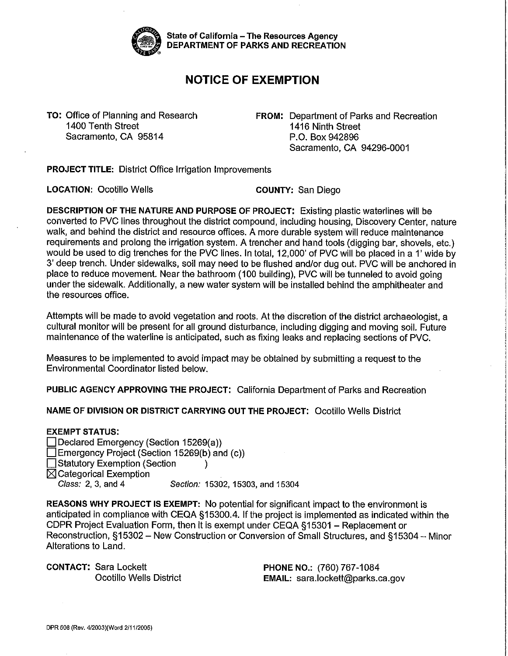

State of California - The Resources Agency DEPARTMENT OF PARKS AND RECREATION

## **NOTICE OF EXEMPTION**

Sacramento, CA 95814 P.O. Box 942896

**TO: Office of Planning and Research <b>FROM: Department of Parks and Recreation**<br>1400 Tenth Street 1400 Tenth Street 1416 Ninth Street Sacramento, CA 94296-0001

**PROJECT TITLE:** District Office Irrigation Improvements

**LOCATION:** Ocotillo Wells **COUNTY:** San Diego

DESCRIPTION OF THE NATURE AND PURPOSE OF PROJECT: Existing plastic waterlines will be converted to PVC lines throughout the district compound, including housing, Discovery Center, nature walk, and behind the district and resource offices. A more durable system will reduce maintenance requirements and prolong the irrigation system. A trencher and hand tools (digging bar, shovels, etc.) would be used to dig trenches for the PVC lines. In total, 12,000' of PVC will be placed in a 1' wide by 3' deep trench. Under sidewalks, soil may need to be flushed and/or dug out. PVC will be anchored in place to reduce movement. Near the bathroom (100 building), PVC will be tunneled to avoid going under the sidewalk. Additionally, a new waler system will be installed behind the amphitheater and the resources office.

Attempts will be made to avoid vegetation and roots. At the discretion of the district archaeologist, a cultural monitor will be present for all ground disturbance, including digging and moving soil. Future maintenance of the waterline is anticipated, such as fixing leaks and replacing sections of PVC.

Measures to be implemented to avoid impact may be obtained by submitting a request to the Environmental Coordinator listed below.

**PUBLIC AGENCY APPROVING THE PROJECT:** California Department of Parks and Recreation

**NAME OF DIVISION OR DISTRICT CARRYING OUT THE PROJECT:** Ocotillo Wells District

## **EXEMPT STATUS:**

- Declared Emergency (Section 15269(a)) Emergency Project (Section 15269(b) and (c)) Territory Exemption (Section )
- $\boxtimes$  Categorical Exemption

Class: 2, 3, and 4 Section: 15302, 15303, and 15304

**REASONS WHY PROJECT IS EXEMPT:** No potential for significant impact to the environment is anticipated in compliance with CEQA §15300.4. If the project is implemented as indicated within the CDPR Project Evaluation Form, then it is exempt under CEQA §15301 - Replacement or Reconstruction, §15302 - New Construction or Conversion of Small Structures, and §15304 - Minor Alterations to Land.

**CONTACT:** Sara Lockett **PHONE NO.:** (760) 767-1084

Ocotillo Wells District **EMAIL:** [sara.lockett@parks.ca.gov](mailto:sara.lockett@parks.ca.gov)